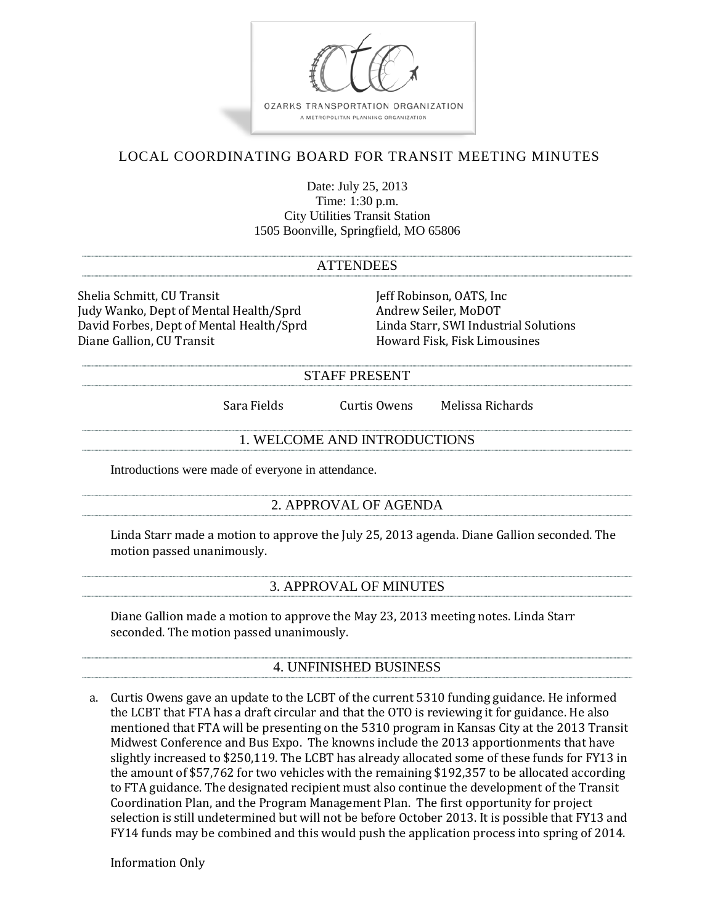

## 4. UNFINISHED BUSINESS

a. Curtis Owens gave an update to the LCBT of the current 5310 funding guidance. He informed the LCBT that FTA has a draft circular and that the OTO is reviewing it for guidance. He also mentioned that FTA will be presenting on the 5310 program in Kansas City at the 2013 Transit Midwest Conference and Bus Expo. The knowns include the 2013 apportionments that have slightly increased to \$250,119. The LCBT has already allocated some of these funds for FY13 in the amount of \$57,762 for two vehicles with the remaining \$192,357 to be allocated according to FTA guidance. The designated recipient must also continue the development of the Transit Coordination Plan, and the Program Management Plan. The first opportunity for project selection is still undetermined but will not be before October 2013. It is possible that FY13 and FY14 funds may be combined and this would push the application process into spring of 2014.

Information Only